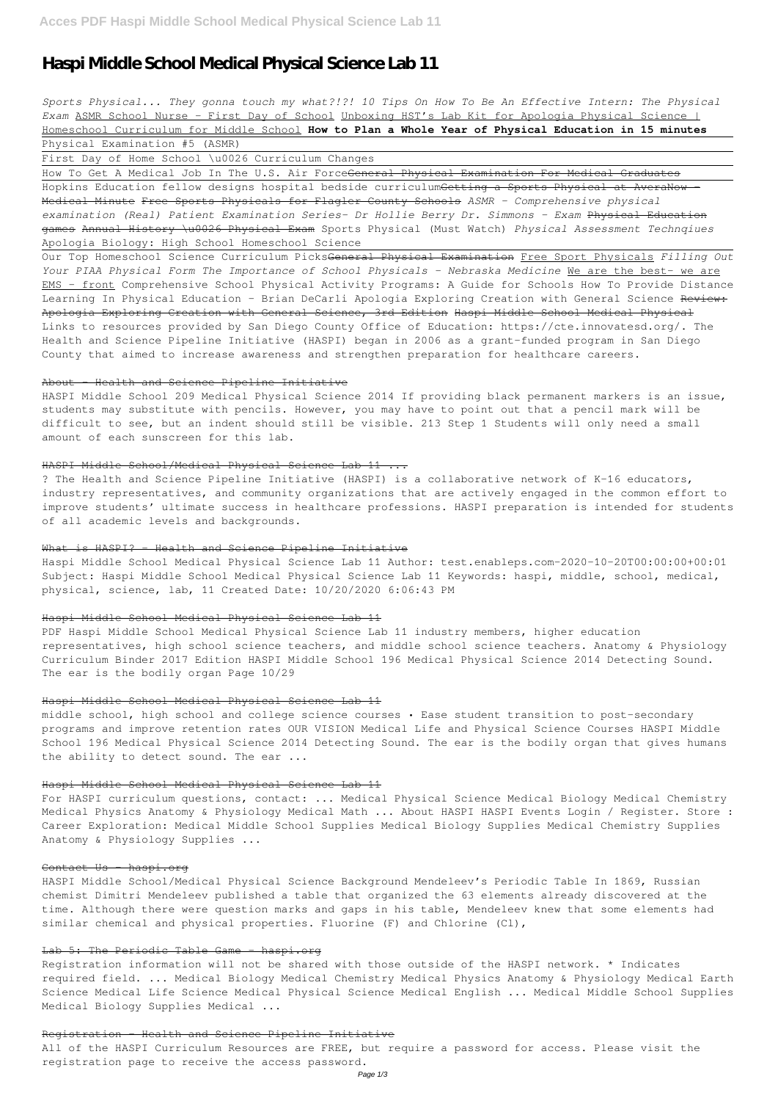# **Haspi Middle School Medical Physical Science Lab 11**

*Sports Physical... They gonna touch my what?!?! 10 Tips On How To Be An Effective Intern: The Physical Exam* ASMR School Nurse - First Day of School Unboxing HST's Lab Kit for Apologia Physical Science | Homeschool Curriculum for Middle School **How to Plan a Whole Year of Physical Education in 15 minutes** Physical Examination #5 (ASMR)

First Day of Home School \u0026 Curriculum Changes

How To Get A Medical Job In The U.S. Air Force<del>General Physical Examination For Medical Graduates</del> Hopkins Education fellow designs hospital bedside curriculumGetting a Sports Physical at AveraNow Medical Minute Free Sports Physicals for Flagler County Schools *ASMR - Comprehensive physical examination (Real) Patient Examination Series- Dr Hollie Berry Dr. Simmons - Exam* Physical Education games Annual History \u0026 Physical Exam Sports Physical (Must Watch) *Physical Assessment Technqiues* Apologia Biology: High School Homeschool Science

Our Top Homeschool Science Curriculum PicksGeneral Physical Examination Free Sport Physicals *Filling Out Your PIAA Physical Form The Importance of School Physicals - Nebraska Medicine* We are the best- we are EMS - front Comprehensive School Physical Activity Programs: A Guide for Schools How To Provide Distance Learning In Physical Education - Brian DeCarli Apologia Exploring Creation with General Science Review: Apologia Exploring Creation with General Science, 3rd Edition Haspi Middle School Medical Physical Links to resources provided by San Diego County Office of Education: https://cte.innovatesd.org/. The Health and Science Pipeline Initiative (HASPI) began in 2006 as a grant-funded program in San Diego County that aimed to increase awareness and strengthen preparation for healthcare careers.

# About - Health and Science Pipeline Initiative

middle school, high school and college science courses • Ease student transition to post-secondary programs and improve retention rates OUR VISION Medical Life and Physical Science Courses HASPI Middle School 196 Medical Physical Science 2014 Detecting Sound. The ear is the bodily organ that gives humans the ability to detect sound. The ear ...

HASPI Middle School 209 Medical Physical Science 2014 If providing black permanent markers is an issue, students may substitute with pencils. However, you may have to point out that a pencil mark will be difficult to see, but an indent should still be visible. 213 Step 1 Students will only need a small amount of each sunscreen for this lab.

## HASPI Middle School/Medical Physical Science Lab 11 ...

HASPI Middle School/Medical Physical Science Background Mendeleev's Periodic Table In 1869, Russian chemist Dimitri Mendeleev published a table that organized the 63 elements already discovered at the time. Although there were question marks and gaps in his table, Mendeleev knew that some elements had similar chemical and physical properties. Fluorine (F) and Chlorine (Cl),

## Lab 5: The Periodic Table Game haspi.org

? The Health and Science Pipeline Initiative (HASPI) is a collaborative network of K-16 educators, industry representatives, and community organizations that are actively engaged in the common effort to improve students' ultimate success in healthcare professions. HASPI preparation is intended for students of all academic levels and backgrounds.

#### What is HASPI? - Health and Science Pipeline Initiative

Haspi Middle School Medical Physical Science Lab 11 Author: test.enableps.com-2020-10-20T00:00:00+00:01 Subject: Haspi Middle School Medical Physical Science Lab 11 Keywords: haspi, middle, school, medical, physical, science, lab, 11 Created Date: 10/20/2020 6:06:43 PM

#### Haspi Middle School Medical Physical Science Lab 11

PDF Haspi Middle School Medical Physical Science Lab 11 industry members, higher education representatives, high school science teachers, and middle school science teachers. Anatomy & Physiology Curriculum Binder 2017 Edition HASPI Middle School 196 Medical Physical Science 2014 Detecting Sound. The ear is the bodily organ Page 10/29

#### Haspi Middle School Medical Physical Science Lab 11

## Haspi Middle School Medical Physical Science Lab 11

For HASPI curriculum questions, contact: ... Medical Physical Science Medical Biology Medical Chemistry Medical Physics Anatomy & Physiology Medical Math ... About HASPI HASPI Events Login / Register. Store : Career Exploration: Medical Middle School Supplies Medical Biology Supplies Medical Chemistry Supplies

Anatomy & Physiology Supplies ...

#### Contact Us haspi.org

Registration information will not be shared with those outside of the HASPI network. \* Indicates required field. ... Medical Biology Medical Chemistry Medical Physics Anatomy & Physiology Medical Earth Science Medical Life Science Medical Physical Science Medical English ... Medical Middle School Supplies Medical Biology Supplies Medical ...

### Registration - Health and Science Pipeline Initiative

All of the HASPI Curriculum Resources are FREE, but require a password for access. Please visit the registration page to receive the access password.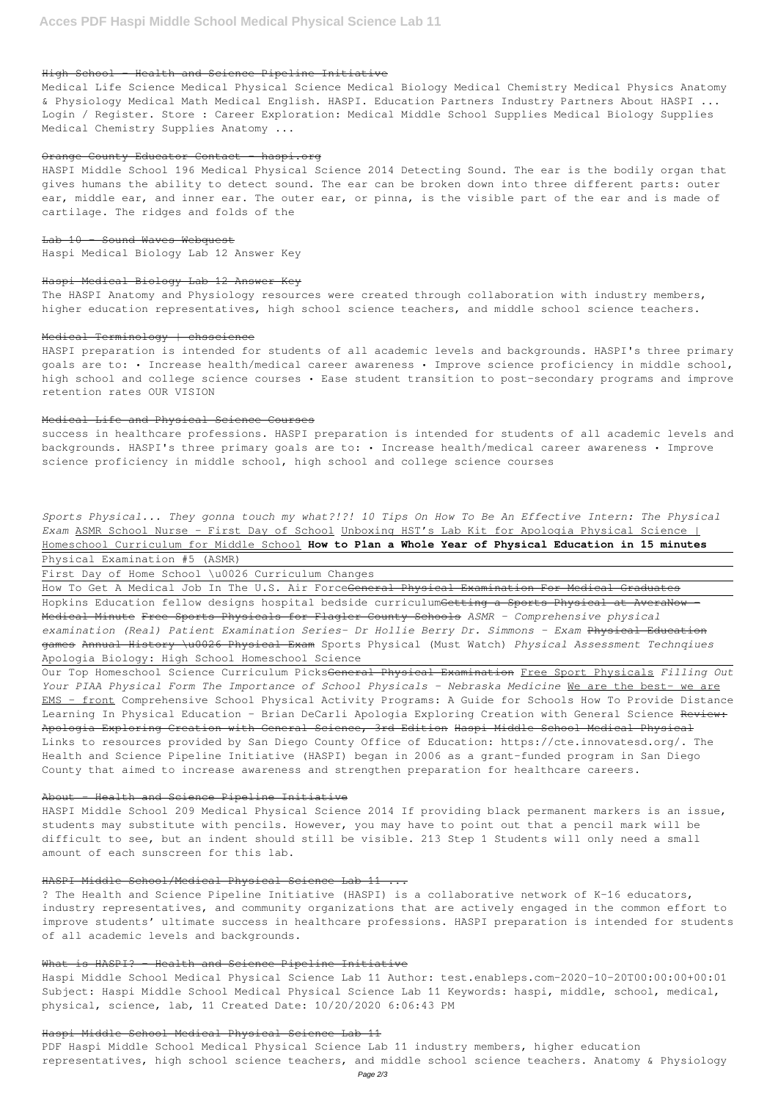# High School - Health and Science Pipeline Initiative

Medical Life Science Medical Physical Science Medical Biology Medical Chemistry Medical Physics Anatomy & Physiology Medical Math Medical English. HASPI. Education Partners Industry Partners About HASPI ... Login / Register. Store : Career Exploration: Medical Middle School Supplies Medical Biology Supplies Medical Chemistry Supplies Anatomy ...

# Orange County Educator Contact haspi.org

HASPI Middle School 196 Medical Physical Science 2014 Detecting Sound. The ear is the bodily organ that gives humans the ability to detect sound. The ear can be broken down into three different parts: outer ear, middle ear, and inner ear. The outer ear, or pinna, is the visible part of the ear and is made of cartilage. The ridges and folds of the

Lab 10 – Sound Waves Webquest Haspi Medical Biology Lab 12 Answer Key

# Haspi Medical Biology Lab 12 Answer Key

The HASPI Anatomy and Physiology resources were created through collaboration with industry members, higher education representatives, high school science teachers, and middle school science teachers.

### Medical Terminology | chsscience

HASPI preparation is intended for students of all academic levels and backgrounds. HASPI's three primary goals are to: • Increase health/medical career awareness • Improve science proficiency in middle school, high school and college science courses • Ease student transition to post-secondary programs and improve retention rates OUR VISION

How To Get A Medical Job In The U.S. Air Force<del>General Physical Examination For Medical Graduates</del> Hopkins Education fellow designs hospital bedside curriculumGetting a Sports Physical at AveraNow Medical Minute Free Sports Physicals for Flagler County Schools *ASMR - Comprehensive physical examination (Real) Patient Examination Series- Dr Hollie Berry Dr. Simmons - Exam* Physical Education games Annual History \u0026 Physical Exam Sports Physical (Must Watch) *Physical Assessment Technqiues* Apologia Biology: High School Homeschool Science

### Medical Life and Physical Science Courses

success in healthcare professions. HASPI preparation is intended for students of all academic levels and backgrounds. HASPI's three primary goals are to: • Increase health/medical career awareness • Improve science proficiency in middle school, high school and college science courses

*Sports Physical... They gonna touch my what?!?! 10 Tips On How To Be An Effective Intern: The Physical Exam* ASMR School Nurse - First Day of School Unboxing HST's Lab Kit for Apologia Physical Science | Homeschool Curriculum for Middle School **How to Plan a Whole Year of Physical Education in 15 minutes** Physical Examination #5 (ASMR)

First Day of Home School \u0026 Curriculum Changes

Our Top Homeschool Science Curriculum PicksGeneral Physical Examination Free Sport Physicals *Filling Out Your PIAA Physical Form The Importance of School Physicals - Nebraska Medicine* We are the best- we are EMS - front Comprehensive School Physical Activity Programs: A Guide for Schools How To Provide Distance Learning In Physical Education - Brian DeCarli Apologia Exploring Creation with General Science Review: Apologia Exploring Creation with General Science, 3rd Edition Haspi Middle School Medical Physical Links to resources provided by San Diego County Office of Education: https://cte.innovatesd.org/. The Health and Science Pipeline Initiative (HASPI) began in 2006 as a grant-funded program in San Diego County that aimed to increase awareness and strengthen preparation for healthcare careers.

## About - Health and Science Pipeline Initiative

HASPI Middle School 209 Medical Physical Science 2014 If providing black permanent markers is an issue, students may substitute with pencils. However, you may have to point out that a pencil mark will be

difficult to see, but an indent should still be visible. 213 Step 1 Students will only need a small amount of each sunscreen for this lab.

# HASPI Middle School/Medical Physical Science Lab 11 ...

? The Health and Science Pipeline Initiative (HASPI) is a collaborative network of K-16 educators, industry representatives, and community organizations that are actively engaged in the common effort to improve students' ultimate success in healthcare professions. HASPI preparation is intended for students of all academic levels and backgrounds.

## What is HASPI? - Health and Science Pipeline Initiative

Haspi Middle School Medical Physical Science Lab 11 Author: test.enableps.com-2020-10-20T00:00:00+00:01 Subject: Haspi Middle School Medical Physical Science Lab 11 Keywords: haspi, middle, school, medical, physical, science, lab, 11 Created Date: 10/20/2020 6:06:43 PM

## Haspi Middle School Medical Physical Science Lab 11

PDF Haspi Middle School Medical Physical Science Lab 11 industry members, higher education representatives, high school science teachers, and middle school science teachers. Anatomy & Physiology